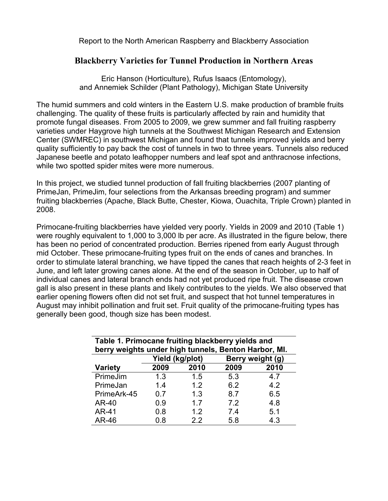Report to the North American Raspberry and Blackberry Association

## **Blackberry Varieties for Tunnel Production in Northern Areas**

Eric Hanson (Horticulture), Rufus Isaacs (Entomology), and Annemiek Schilder (Plant Pathology), Michigan State University

The humid summers and cold winters in the Eastern U.S. make production of bramble fruits challenging. The quality of these fruits is particularly affected by rain and humidity that promote fungal diseases. From 2005 to 2009, we grew summer and fall fruiting raspberry varieties under Haygrove high tunnels at the Southwest Michigan Research and Extension Center (SWMREC) in southwest Michigan and found that tunnels improved yields and berry quality sufficiently to pay back the cost of tunnels in two to three years. Tunnels also reduced Japanese beetle and potato leafhopper numbers and leaf spot and anthracnose infections, while two spotted spider mites were more numerous.

In this project, we studied tunnel production of fall fruiting blackberries (2007 planting of PrimeJan, PrimeJim, four selections from the Arkansas breeding program) and summer fruiting blackberries (Apache, Black Butte, Chester, Kiowa, Ouachita, Triple Crown) planted in 2008.

Primocane-fruiting blackberries have yielded very poorly. Yields in 2009 and 2010 (Table 1) were roughly equivalent to 1,000 to 3,000 lb per acre. As illustrated in the figure below, there has been no period of concentrated production. Berries ripened from early August through mid October. These primocane-fruiting types fruit on the ends of canes and branches. In order to stimulate lateral branching, we have tipped the canes that reach heights of 2-3 feet in June, and left later growing canes alone. At the end of the season in October, up to half of individual canes and lateral branch ends had not yet produced ripe fruit. The disease crown gall is also present in these plants and likely contributes to the yields. We also observed that earlier opening flowers often did not set fruit, and suspect that hot tunnel temperatures in August may inhibit pollination and fruit set. Fruit quality of the primocane-fruiting types has generally been good, though size has been modest.

| Table 1. Primocane fruiting blackberry yields and<br>berry weights under high tunnels, Benton Harbor, MI. |                 |      |                  |      |  |
|-----------------------------------------------------------------------------------------------------------|-----------------|------|------------------|------|--|
|                                                                                                           | Yield (kg/plot) |      | Berry weight (g) |      |  |
| <b>Variety</b>                                                                                            | 2009            | 2010 | 2009             | 2010 |  |
| PrimeJim                                                                                                  | 1.3             | 1.5  | 5.3              | 4.7  |  |
| PrimeJan                                                                                                  | 1.4             | 1.2  | 6.2              | 4.2  |  |
| PrimeArk-45                                                                                               | 0.7             | 1.3  | 8.7              | 6.5  |  |
| AR-40                                                                                                     | 0.9             | 1.7  | 7.2              | 4.8  |  |
| AR-41                                                                                                     | 0.8             | 1.2  | 7.4              | 5.1  |  |
| AR-46                                                                                                     | 0.8             | 2.2  | 5.8              | 4.3  |  |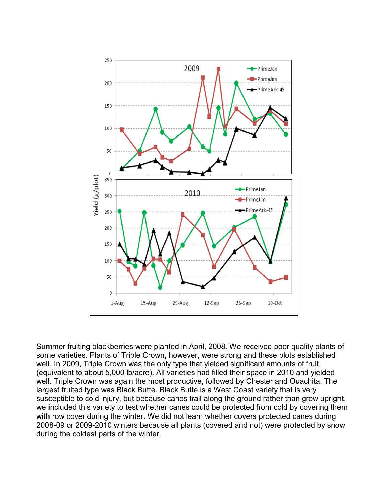

Summer fruiting blackberries were planted in April, 2008. We received poor quality plants of some varieties. Plants of Triple Crown, however, were strong and these plots established well. In 2009, Triple Crown was the only type that yielded significant amounts of fruit (equivalent to about 5,000 lb/acre). All varieties had filled their space in 2010 and yielded well. Triple Crown was again the most productive, followed by Chester and Ouachita. The largest fruited type was Black Butte. Black Butte is a West Coast variety that is very susceptible to cold injury, but because canes trail along the ground rather than grow upright, we included this variety to test whether canes could be protected from cold by covering them with row cover during the winter. We did not learn whether covers protected canes during 2008-09 or 2009-2010 winters because all plants (covered and not) were protected by snow during the coldest parts of the winter.